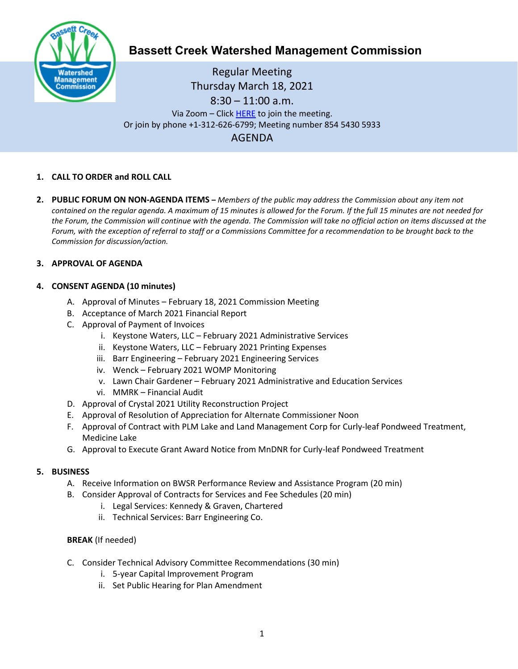

# **Bassett Creek Watershed Management Commission**

Regular Meeting Thursday March 18, 2021 8:30 – 11:00 a.m. Via Zoom – Clic[k HERE](https://us02web.zoom.us/j/85454305933) to join the meeting. Or join by phone +1-312-626-6799; Meeting number 854 5430 5933 AGENDA

## **1. CALL TO ORDER and ROLL CALL**

**2. PUBLIC FORUM ON NON-AGENDA ITEMS –** *Members of the public may address the Commission about any item not contained on the regular agenda. A maximum of 15 minutes is allowed for the Forum. If the full 15 minutes are not needed for the Forum, the Commission will continue with the agenda. The Commission will take no official action on items discussed at the Forum, with the exception of referral to staff or a Commissions Committee for a recommendation to be brought back to the Commission for discussion/action.*

## **3. APPROVAL OF AGENDA**

## **4. CONSENT AGENDA (10 minutes)**

- A. Approval of Minutes February 18, 2021 Commission Meeting
- B. Acceptance of March 2021 Financial Report
- C. Approval of Payment of Invoices
	- i. Keystone Waters, LLC February 2021 Administrative Services
	- ii. Keystone Waters, LLC February 2021 Printing Expenses
	- iii. Barr Engineering February 2021 Engineering Services
	- iv. Wenck February 2021 WOMP Monitoring
	- v. Lawn Chair Gardener February 2021 Administrative and Education Services
	- vi. MMRK Financial Audit
- D. Approval of Crystal 2021 Utility Reconstruction Project
- E. Approval of Resolution of Appreciation for Alternate Commissioner Noon
- F. Approval of Contract with PLM Lake and Land Management Corp for Curly-leaf Pondweed Treatment, Medicine Lake
- G. Approval to Execute Grant Award Notice from MnDNR for Curly-leaf Pondweed Treatment

#### **5. BUSINESS**

- A. Receive Information on BWSR Performance Review and Assistance Program (20 min)
- B. Consider Approval of Contracts for Services and Fee Schedules (20 min)
	- i. Legal Services: Kennedy & Graven, Chartered
	- ii. Technical Services: Barr Engineering Co.

#### **BREAK** (If needed)

- C. Consider Technical Advisory Committee Recommendations (30 min)
	- i. 5-year Capital Improvement Program
	- ii. Set Public Hearing for Plan Amendment